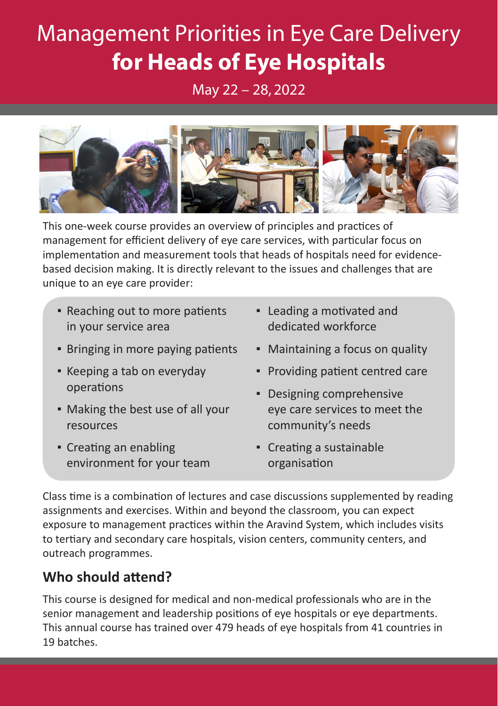# Management Priorities in Eye Care Delivery **for Heads of Eye Hospitals**

May 22 – 28, 2022



This one-week course provides an overview of principles and practices of management for efficient delivery of eye care services, with particular focus on implementation and measurement tools that heads of hospitals need for evidencebased decision making. It is directly relevant to the issues and challenges that are unique to an eye care provider:

- Reaching out to more patients in your service area
- Bringing in more paying patients
- **EXEC** Keeping a tab on everyday operations
- Making the best use of all your resources
- Creating an enabling environment for your team
- Leading a motivated and dedicated workforce
- Maintaining a focus on quality
- Providing patient centred care
- Designing comprehensive eye care services to meet the community's needs
- Creating a sustainable organisation

Class time is a combination of lectures and case discussions supplemented by reading assignments and exercises. Within and beyond the classroom, you can expect exposure to management practices within the Aravind System, which includes visits to tertiary and secondary care hospitals, vision centers, community centers, and outreach programmes.

# **Who should attend?**

This course is designed for medical and non-medical professionals who are in the senior management and leadership positions of eye hospitals or eye departments. This annual course has trained over 479 heads of eye hospitals from 41 countries in 19 batches.